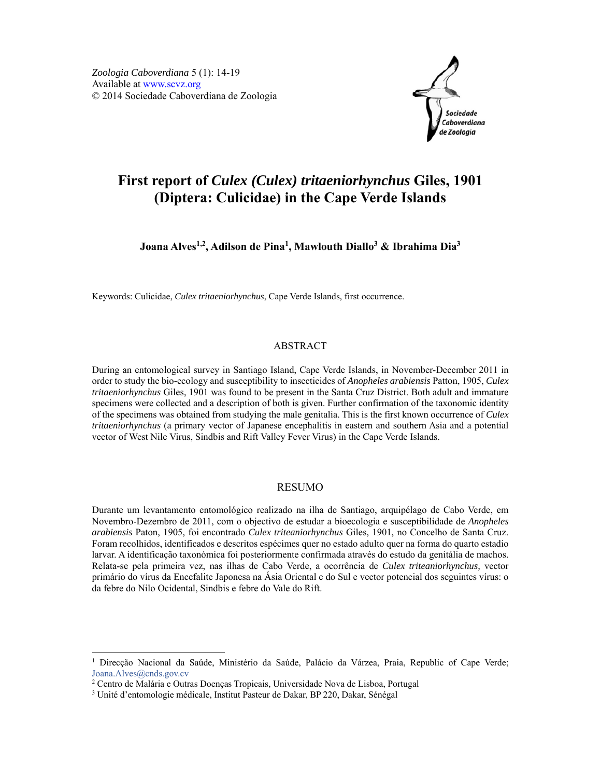

# **First report of** *Culex (Culex) tritaeniorhynchus* **Giles, 1901 (Diptera: Culicidae) in the Cape Verde Islands**

**Joana Alves1,2, Adilson de Pina1, Mawlouth Diallo3 & Ibrahima Dia3**

Keywords: Culicidae, *Culex tritaeniorhynchus*, Cape Verde Islands, first occurrence.

## ABSTRACT

During an entomological survey in Santiago Island, Cape Verde Islands, in November-December 2011 in order to study the bio-ecology and susceptibility to insecticides of *Anopheles arabiensis* Patton, 1905, *Culex tritaeniorhynchus* Giles, 1901 was found to be present in the Santa Cruz District. Both adult and immature specimens were collected and a description of both is given. Further confirmation of the taxonomic identity of the specimens was obtained from studying the male genitalia. This is the first known occurrence of *Culex tritaeniorhynchus* (a primary vector of Japanese encephalitis in eastern and southern Asia and a potential vector of West Nile Virus, Sindbis and Rift Valley Fever Virus) in the Cape Verde Islands.

#### RESUMO

Durante um levantamento entomológico realizado na ilha de Santiago, arquipélago de Cabo Verde, em Novembro-Dezembro de 2011, com o objectivo de estudar a bioecologia e susceptibilidade de *Anopheles arabiensis* Paton, 1905, foi encontrado *Culex triteaniorhynchus* Giles, 1901, no Concelho de Santa Cruz. Foram recolhidos, identificados e descritos espécimes quer no estado adulto quer na forma do quarto estadio larvar. A identificação taxonómica foi posteriormente confirmada através do estudo da genitália de machos. Relata-se pela primeira vez, nas ilhas de Cabo Verde, a ocorrência de *Culex triteaniorhynchus,* vector primário do vírus da Encefalite Japonesa na Ásia Oriental e do Sul e vector potencial dos seguintes vírus: o da febre do Nilo Ocidental, Sindbis e febre do Vale do Rift.

-

<sup>&</sup>lt;sup>1</sup> Direcção Nacional da Saúde, Ministério da Saúde, Palácio da Várzea, Praia, Republic of Cape Verde; Joana.Alves@cnds.gov.cv

<sup>&</sup>lt;sup>2</sup> Centro de Malária e Outras Doenças Tropicais, Universidade Nova de Lisboa, Portugal<br><sup>3</sup> Unité d'entomologie médicale Institut Pasteur de Dakar, BP 220, Dakar, Sénégal

Unité d'entomologie médicale, Institut Pasteur de Dakar, BP 220, Dakar, Sénégal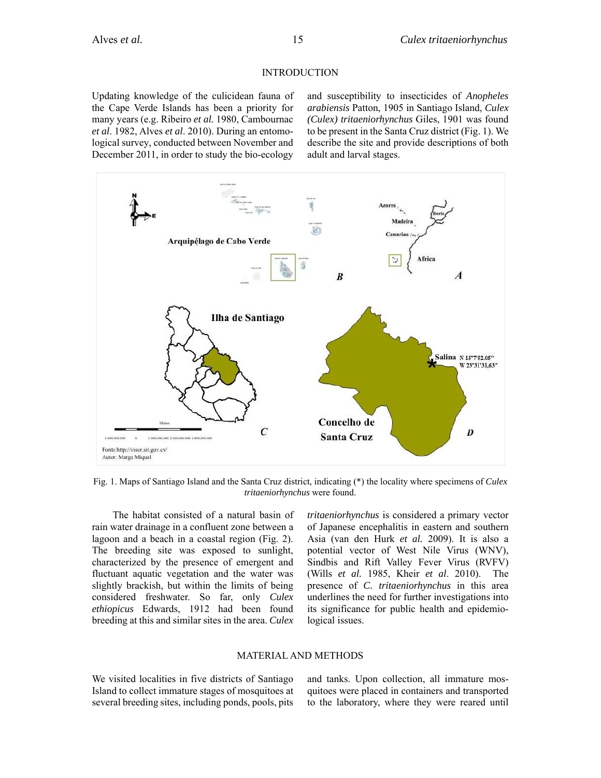## INTRODUCTION

Updating knowledge of the culicidean fauna of the Cape Verde Islands has been a priority for many years (e.g. Ribeiro *et al.* 1980, Cambournac *et al*. 1982, Alves *et al*. 2010). During an entomological survey, conducted between November and December 2011, in order to study the bio-ecology and susceptibility to insecticides of *Anopheles arabiensis* Patton, 1905 in Santiago Island, *Culex (Culex) tritaeniorhynchus* Giles, 1901 was found to be present in the Santa Cruz district (Fig. 1). We describe the site and provide descriptions of both adult and larval stages.



Fig. 1. Maps of Santiago Island and the Santa Cruz district, indicating (\*) the locality where specimens of *Culex tritaeniorhynchus* were found.

The habitat consisted of a natural basin of rain water drainage in a confluent zone between a lagoon and a beach in a coastal region (Fig. 2). The breeding site was exposed to sunlight, characterized by the presence of emergent and fluctuant aquatic vegetation and the water was slightly brackish, but within the limits of being considered freshwater. So far, only *Culex ethiopicus* Edwards, 1912 had been found breeding at this and similar sites in the area. *Culex* 

*tritaeniorhynchus* is considered a primary vector of Japanese encephalitis in eastern and southern Asia (van den Hurk *et al.* 2009). It is also a potential vector of West Nile Virus (WNV), Sindbis and Rift Valley Fever Virus (RVFV) (Wills *et al.* 1985, Kheir *et al*. 2010). The presence of *C. tritaeniorhynchus* in this area underlines the need for further investigations into its significance for public health and epidemiological issues.

#### MATERIAL AND METHODS

We visited localities in five districts of Santiago Island to collect immature stages of mosquitoes at several breeding sites, including ponds, pools, pits and tanks. Upon collection, all immature mosquitoes were placed in containers and transported to the laboratory, where they were reared until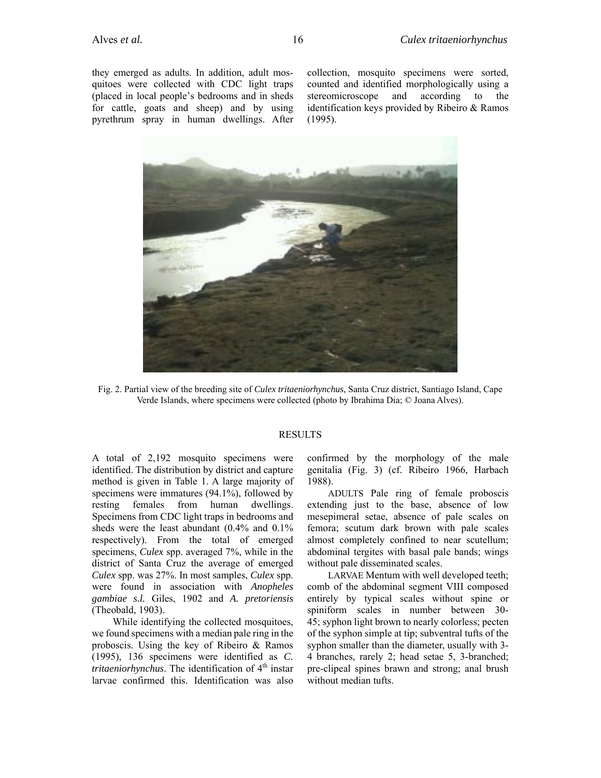they emerged as adults. In addition, adult mosquitoes were collected with CDC light traps (placed in local people's bedrooms and in sheds for cattle, goats and sheep) and by using pyrethrum spray in human dwellings. After collection, mosquito specimens were sorted, counted and identified morphologically using a stereomicroscope and according to the identification keys provided by Ribeiro & Ramos (1995).



Fig. 2. Partial view of the breeding site of *Culex tritaeniorhynchus*, Santa Cruz district, Santiago Island, Cape Verde Islands, where specimens were collected (photo by Ibrahima Dia; © Joana Alves).

#### RESULTS

A total of 2,192 mosquito specimens were identified. The distribution by district and capture method is given in Table 1. A large majority of specimens were immatures (94.1%), followed by resting females from human dwellings. Specimens from CDC light traps in bedrooms and sheds were the least abundant (0.4% and 0.1% respectively). From the total of emerged specimens, *Culex* spp. averaged 7%, while in the district of Santa Cruz the average of emerged *Culex* spp. was 27%. In most samples, *Culex* spp. were found in association with *Anopheles gambiae s.l.* Giles, 1902 and *A. pretoriensis*  (Theobald, 1903).

While identifying the collected mosquitoes, we found specimens with a median pale ring in the proboscis. Using the key of Ribeiro & Ramos (1995), 136 specimens were identified as *C. tritaeniorhynchus*. The identification of 4<sup>th</sup> instar larvae confirmed this. Identification was also confirmed by the morphology of the male genitalia (Fig. 3) (cf. Ribeiro 1966, Harbach 1988).

ADULTS Pale ring of female proboscis extending just to the base, absence of low mesepimeral setae, absence of pale scales on femora; scutum dark brown with pale scales almost completely confined to near scutellum; abdominal tergites with basal pale bands; wings without pale disseminated scales.

LARVAE Mentum with well developed teeth; comb of the abdominal segment VIII composed entirely by typical scales without spine or spiniform scales in number between 30- 45; syphon light brown to nearly colorless; pecten of the syphon simple at tip; subventral tufts of the syphon smaller than the diameter, usually with 3- 4 branches, rarely 2; head setae 5, 3-branched; pre-clipeal spines brawn and strong; anal brush without median tufts.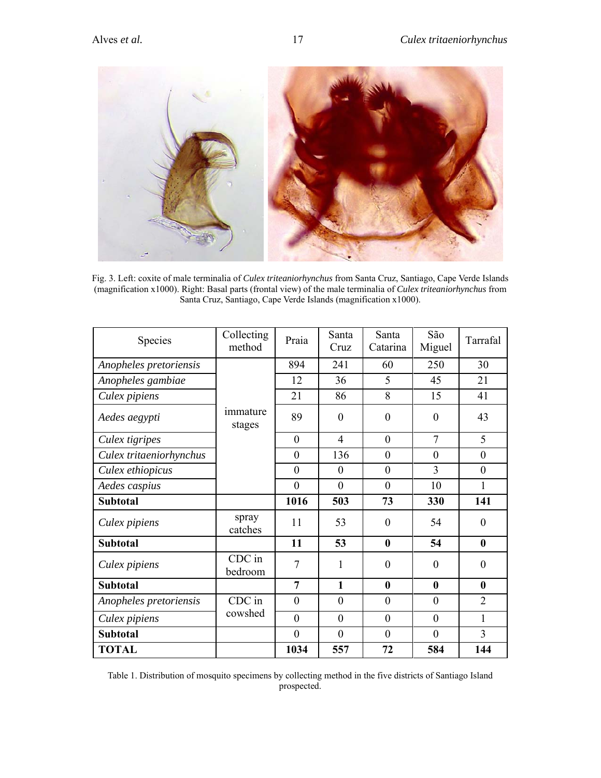

Fig. 3. Left: coxite of male terminalia of *Culex triteaniorhynchus* from Santa Cruz, Santiago, Cape Verde Islands (magnification x1000). Right: Basal parts (frontal view) of the male terminalia of *Culex triteaniorhynchus* from Santa Cruz, Santiago, Cape Verde Islands (magnification x1000).

| Species                 | Collecting<br>method | Praia            | Santa<br>Cruz  | Santa<br>Catarina | São<br>Miguel  | Tarrafal         |
|-------------------------|----------------------|------------------|----------------|-------------------|----------------|------------------|
| Anopheles pretoriensis  |                      | 894              | 241            | 60                | 250            | 30               |
| Anopheles gambiae       |                      | 12               | 36             | 5                 | 45             | 21               |
| Culex pipiens           |                      | 21               | 86             | 8                 | 15             | 41               |
| Aedes aegypti           | immature<br>stages   | 89               | $\overline{0}$ | $\overline{0}$    | $\overline{0}$ | 43               |
| Culex tigripes          |                      | $\theta$         | $\overline{4}$ | $\theta$          | $\tau$         | 5                |
| Culex tritaeniorhynchus |                      | $\overline{0}$   | 136            | $\mathbf{0}$      | $\mathbf{0}$   | $\mathbf{0}$     |
| Culex ethiopicus        |                      | $\theta$         | $\overline{0}$ | $\mathbf{0}$      | 3              | $\mathbf{0}$     |
| Aedes caspius           |                      | $\boldsymbol{0}$ | $\mathbf{0}$   | $\theta$          | 10             | $\mathbf{1}$     |
| <b>Subtotal</b>         |                      | 1016             | 503            | 73                | 330            | 141              |
| Culex pipiens           | spray<br>catches     | 11               | 53             | $\overline{0}$    | 54             | $\mathbf{0}$     |
| <b>Subtotal</b>         |                      | 11               | 53             | $\bf{0}$          | 54             | $\boldsymbol{0}$ |
| Culex pipiens           | CDC in<br>bedroom    | 7                | 1              | $\theta$          | $\overline{0}$ | $\boldsymbol{0}$ |
| <b>Subtotal</b>         |                      | 7                | $\mathbf{1}$   | $\bf{0}$          | $\bf{0}$       | $\boldsymbol{0}$ |
| Anopheles pretoriensis  | CDC in               | $\theta$         | $\overline{0}$ | $\overline{0}$    | $\mathbf{0}$   | $\overline{2}$   |
| Culex pipiens           | cowshed              | $\overline{0}$   | $\overline{0}$ | $\overline{0}$    | $\mathbf{0}$   | 1                |
| <b>Subtotal</b>         |                      | $\theta$         | $\theta$       | $\theta$          | $\theta$       | 3                |
| <b>TOTAL</b>            |                      | 1034             | 557            | 72                | 584            | 144              |

Table 1. Distribution of mosquito specimens by collecting method in the five districts of Santiago Island prospected.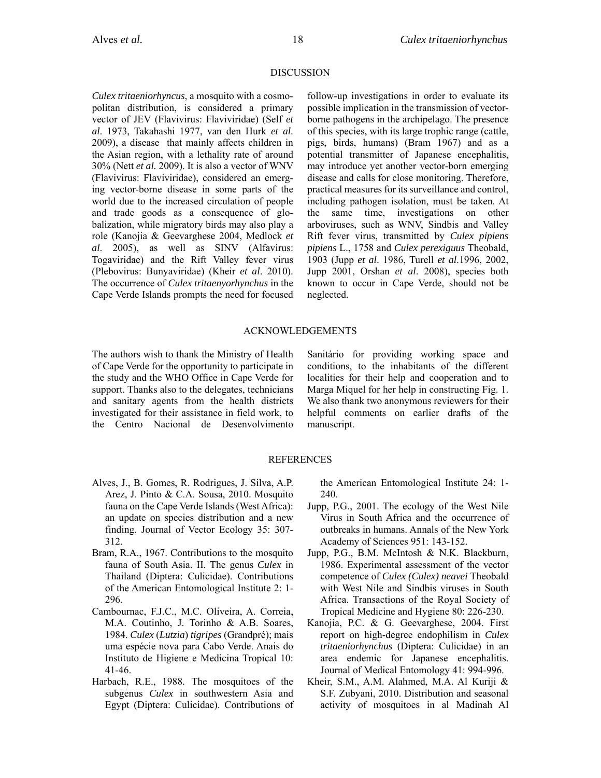## DISCUSSION

*Culex tritaeniorhyncus*, a mosquito with a cosmopolitan distribution, is considered a primary vector of JEV (Flavivirus: Flaviviridae) (Self *et al*. 1973, Takahashi 1977, van den Hurk *et al*. 2009), a disease that mainly affects children in the Asian region, with a lethality rate of around 30% (Nett *et al.* 2009). It is also a vector of WNV (Flavivirus: Flaviviridae), considered an emerging vector-borne disease in some parts of the world due to the increased circulation of people and trade goods as a consequence of globalization, while migratory birds may also play a role (Kanojia & Geevarghese 2004, Medlock *et al*. 2005), as well as SINV (Alfavirus: Togaviridae) and the Rift Valley fever virus (Plebovirus: Bunyaviridae) (Kheir *et al*. 2010). The occurrence of *Culex tritaenyorhynchus* in the Cape Verde Islands prompts the need for focused follow-up investigations in order to evaluate its possible implication in the transmission of vectorborne pathogens in the archipelago. The presence of this species, with its large trophic range (cattle, pigs, birds, humans) (Bram 1967) and as a potential transmitter of Japanese encephalitis, may introduce yet another vector-born emerging disease and calls for close monitoring. Therefore, practical measures for its surveillance and control, including pathogen isolation, must be taken. At the same time, investigations on other arboviruses, such as WNV, Sindbis and Valley Rift fever virus, transmitted by *Culex pipiens pipiens* L., 1758 and *Culex perexiguus* Theobald, 1903 (Jupp *et al*. 1986, Turell *et al*.1996, 2002, Jupp 2001, Orshan *et al*. 2008), species both known to occur in Cape Verde, should not be neglected.

### ACKNOWLEDGEMENTS

The authors wish to thank the Ministry of Health of Cape Verde for the opportunity to participate in the study and the WHO Office in Cape Verde for support. Thanks also to the delegates, technicians and sanitary agents from the health districts investigated for their assistance in field work, to the Centro Nacional de Desenvolvimento Sanitário for providing working space and conditions, to the inhabitants of the different localities for their help and cooperation and to Marga Miquel for her help in constructing Fig. 1. We also thank two anonymous reviewers for their helpful comments on earlier drafts of the manuscript.

# REFERENCES

- Alves, J., B. Gomes, R. Rodrigues, J. Silva, A.P. Arez, J. Pinto & C.A. Sousa, 2010. Mosquito fauna on the Cape Verde Islands (West Africa): an update on species distribution and a new finding. Journal of Vector Ecology 35: 307- 312.
- Bram, R.A., 1967. Contributions to the mosquito fauna of South Asia. II. The genus *Culex* in Thailand (Diptera: Culicidae). Contributions of the American Entomological Institute 2: 1- 296.
- Cambournac, F.J.C., M.C. Oliveira, A. Correia, M.A. Coutinho, J. Torinho & A.B. Soares, 1984. *Culex* (*Lutzia*) *tigripes* (Grandpré); mais uma espécie nova para Cabo Verde. Anais do Instituto de Higiene e Medicina Tropical 10: 41-46.
- Harbach, R.E., 1988. The mosquitoes of the subgenus *Culex* in southwestern Asia and Egypt (Diptera: Culicidae). Contributions of

the American Entomological Institute 24: 1- 240.

- Jupp, P.G., 2001. The ecology of the West Nile Virus in South Africa and the occurrence of outbreaks in humans. Annals of the New York Academy of Sciences 951: 143-152.
- Jupp, P.G., B.M. McIntosh & N.K. Blackburn, 1986. Experimental assessment of the vector competence of *Culex (Culex) neavei* Theobald with West Nile and Sindbis viruses in South Africa. Transactions of the Royal Society of Tropical Medicine and Hygiene 80: 226-230.
- Kanojia, P.C. & G. Geevarghese, 2004. First report on high-degree endophilism in *Culex tritaeniorhynchus* (Diptera: Culicidae) in an area endemic for Japanese encephalitis. Journal of Medical Entomology 41: 994-996.
- Kheir, S.M., A.M. Alahmed, M.A. Al Kuriji & S.F. Zubyani, 2010. Distribution and seasonal activity of mosquitoes in al Madinah Al